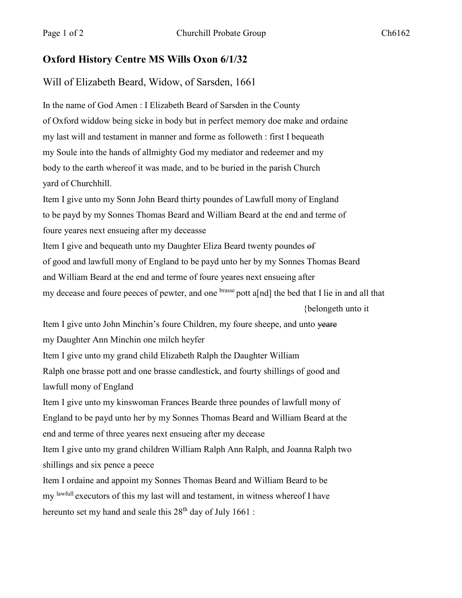## **Oxford History Centre MS Wills Oxon 6/1/32**

## Will of Elizabeth Beard, Widow, of Sarsden, 1661

In the name of God Amen : I Elizabeth Beard of Sarsden in the County of Oxford widdow being sicke in body but in perfect memory doe make and ordaine my last will and testament in manner and forme as followeth : first I bequeath my Soule into the hands of allmighty God my mediator and redeemer and my body to the earth whereof it was made, and to be buried in the parish Church yard of Churchhill.

Item I give unto my Sonn John Beard thirty poundes of Lawfull mony of England to be payd by my Sonnes Thomas Beard and William Beard at the end and terme of foure yeares next ensueing after my deceasse Item I give and bequeath unto my Daughter Eliza Beard twenty poundes of of good and lawfull mony of England to be payd unto her by my Sonnes Thomas Beard

and William Beard at the end and terme of foure yeares next ensueing after

my decease and foure peeces of pewter, and one brasse pott a[nd] the bed that I lie in and all that {belongeth unto it

Item I give unto John Minchin's foure Children, my foure sheepe, and unto yeare my Daughter Ann Minchin one milch heyfer

Item I give unto my grand child Elizabeth Ralph the Daughter William Ralph one brasse pott and one brasse candlestick, and fourty shillings of good and

lawfull mony of England

Item I give unto my kinswoman Frances Bearde three poundes of lawfull mony of England to be payd unto her by my Sonnes Thomas Beard and William Beard at the end and terme of three yeares next ensueing after my decease

Item I give unto my grand children William Ralph Ann Ralph, and Joanna Ralph two shillings and six pence a peece

Item I ordaine and appoint my Sonnes Thomas Beard and William Beard to be my lawfull executors of this my last will and testament, in witness whereof I have hereunto set my hand and seale this  $28<sup>th</sup>$  day of July 1661 :